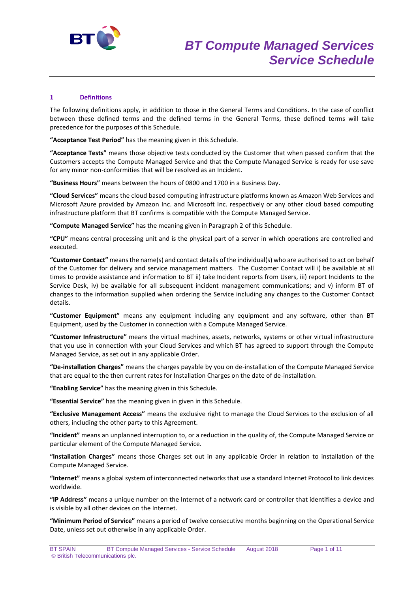

# **1 Definitions**

The following definitions apply, in addition to those in the General Terms and Conditions. In the case of conflict between these defined terms and the defined terms in the General Terms, these defined terms will take precedence for the purposes of this Schedule.

**"Acceptance Test Period"** has the meaning given in this Schedule.

**"Acceptance Tests"** means those objective tests conducted by the Customer that when passed confirm that the Customers accepts the Compute Managed Service and that the Compute Managed Service is ready for use save for any minor non-conformities that will be resolved as an Incident.

**"Business Hours"** means between the hours of 0800 and 1700 in a Business Day.

**"Cloud Services"** means the cloud based computing infrastructure platforms known as Amazon Web Services and Microsoft Azure provided by Amazon Inc. and Microsoft Inc. respectively or any other cloud based computing infrastructure platform that BT confirms is compatible with the Compute Managed Service.

**"Compute Managed Service"** has the meaning given in Paragraph 2 of this Schedule.

**"CPU"** means central processing unit and is the physical part of a server in which operations are controlled and executed.

**"Customer Contact"** means the name(s) and contact details of the individual(s) who are authorised to act on behalf of the Customer for delivery and service management matters. The Customer Contact will i) be available at all times to provide assistance and information to BT ii) take Incident reports from Users, iii) report Incidents to the Service Desk, iv) be available for all subsequent incident management communications; and v) inform BT of changes to the information supplied when ordering the Service including any changes to the Customer Contact details.

**"Customer Equipment"** means any equipment including any equipment and any software, other than BT Equipment, used by the Customer in connection with a Compute Managed Service.

**"Customer Infrastructure"** means the virtual machines, assets, networks, systems or other virtual infrastructure that you use in connection with your Cloud Services and which BT has agreed to support through the Compute Managed Service, as set out in any applicable Order.

**"De-installation Charges"** means the charges payable by you on de-installation of the Compute Managed Service that are equal to the then current rates for Installation Charges on the date of de-installation.

**"Enabling Service"** has the meaning given in this Schedule.

**"Essential Service"** has the meaning given in given in this Schedule.

**"Exclusive Management Access"** means the exclusive right to manage the Cloud Services to the exclusion of all others, including the other party to this Agreement.

**"Incident"** means an unplanned interruption to, or a reduction in the quality of, the Compute Managed Service or particular element of the Compute Managed Service.

**"Installation Charges"** means those Charges set out in any applicable Order in relation to installation of the Compute Managed Service.

**"Internet"** means a global system of interconnected networks that use a standard Internet Protocol to link devices worldwide.

**"IP Address"** means a unique number on the Internet of a network card or controller that identifies a device and is visible by all other devices on the Internet.

**"Minimum Period of Service"** means a period of twelve consecutive months beginning on the Operational Service Date, unless set out otherwise in any applicable Order.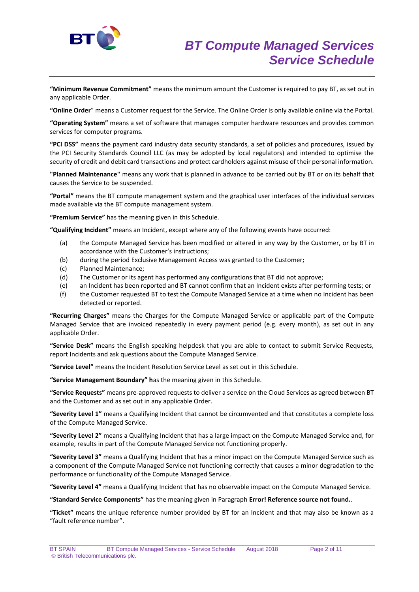

**"Minimum Revenue Commitment"** means the minimum amount the Customer is required to pay BT, as set out in any applicable Order.

**"Online Order**" means a Customer request for the Service. The Online Order is only available online via the Portal.

**"Operating System"** means a set of software that manages computer hardware resources and provides common services for computer programs.

**"PCI DSS"** means the payment card industry data security standards, a set of policies and procedures, issued by the PCI Security Standards Council LLC (as may be adopted by local regulators) and intended to optimise the security of credit and debit card transactions and protect cardholders against misuse of their personal information.

**"Planned Maintenance"** means any work that is planned in advance to be carried out by BT or on its behalf that causes the Service to be suspended.

**"Portal"** means the BT compute management system and the graphical user interfaces of the individual services made available via the BT compute management system.

**"Premium Service"** has the meaning given in this Schedule.

**"Qualifying Incident"** means an Incident, except where any of the following events have occurred:

- (a) the Compute Managed Service has been modified or altered in any way by the Customer, or by BT in accordance with the Customer's instructions;
- (b) during the period Exclusive Management Access was granted to the Customer;
- (c) Planned Maintenance;
- (d) The Customer or its agent has performed any configurations that BT did not approve;
- (e) an Incident has been reported and BT cannot confirm that an Incident exists after performing tests; or
- (f) the Customer requested BT to test the Compute Managed Service at a time when no Incident has been detected or reported.

**"Recurring Charges"** means the Charges for the Compute Managed Service or applicable part of the Compute Managed Service that are invoiced repeatedly in every payment period (e.g. every month), as set out in any applicable Order.

**"Service Desk"** means the English speaking helpdesk that you are able to contact to submit Service Requests, report Incidents and ask questions about the Compute Managed Service.

**"Service Level"** means the Incident Resolution Service Level as set out in this Schedule.

**"Service Management Boundary" h**as the meaning given in this Schedule.

**"Service Requests"** means pre-approved requests to deliver a service on the Cloud Services as agreed between BT and the Customer and as set out in any applicable Order.

**"Severity Level 1"** means a Qualifying Incident that cannot be circumvented and that constitutes a complete loss of the Compute Managed Service.

**"Severity Level 2"** means a Qualifying Incident that has a large impact on the Compute Managed Service and, for example, results in part of the Compute Managed Service not functioning properly.

**"Severity Level 3"** means a Qualifying Incident that has a minor impact on the Compute Managed Service such as a component of the Compute Managed Service not functioning correctly that causes a minor degradation to the performance or functionality of the Compute Managed Service.

**"Severity Level 4"** means a Qualifying Incident that has no observable impact on the Compute Managed Service.

**"Standard Service Components"** has the meaning given in Paragraph **Error! Reference source not found.**.

**"Ticket"** means the unique reference number provided by BT for an Incident and that may also be known as a "fault reference number".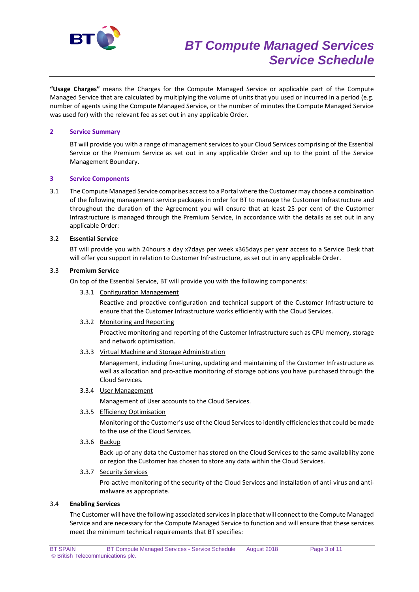

**"Usage Charges"** means the Charges for the Compute Managed Service or applicable part of the Compute Managed Service that are calculated by multiplying the volume of units that you used or incurred in a period (e.g. number of agents using the Compute Managed Service, or the number of minutes the Compute Managed Service was used for) with the relevant fee as set out in any applicable Order.

## **2 Service Summary**

BT will provide you with a range of management services to your Cloud Services comprising of the Essential Service or the Premium Service as set out in any applicable Order and up to the point of the Service Management Boundary.

## **3 Service Components**

3.1 The Compute Managed Service comprises access to a Portal where the Customer may choose a combination of the following management service packages in order for BT to manage the Customer Infrastructure and throughout the duration of the Agreement you will ensure that at least 25 per cent of the Customer Infrastructure is managed through the Premium Service, in accordance with the details as set out in any applicable Order:

## 3.2 **Essential Service**

BT will provide you with 24hours a day x7days per week x365days per year access to a Service Desk that will offer you support in relation to Customer Infrastructure, as set out in any applicable Order.

## 3.3 **Premium Service**

On top of the Essential Service, BT will provide you with the following components:

#### 3.3.1 Configuration Management

Reactive and proactive configuration and technical support of the Customer Infrastructure to ensure that the Customer Infrastructure works efficiently with the Cloud Services.

#### 3.3.2 Monitoring and Reporting

Proactive monitoring and reporting of the Customer Infrastructure such as CPU memory, storage and network optimisation.

3.3.3 Virtual Machine and Storage Administration

Management, including fine-tuning, updating and maintaining of the Customer Infrastructure as well as allocation and pro-active monitoring of storage options you have purchased through the Cloud Services.

3.3.4 User Management

Management of User accounts to the Cloud Services.

3.3.5 Efficiency Optimisation

Monitoring of the Customer's use of the Cloud Services to identify efficiencies that could be made to the use of the Cloud Services.

3.3.6 Backup

Back-up of any data the Customer has stored on the Cloud Services to the same availability zone or region the Customer has chosen to store any data within the Cloud Services.

## 3.3.7 Security Services

Pro-active monitoring of the security of the Cloud Services and installation of anti-virus and antimalware as appropriate.

## 3.4 **Enabling Services**

The Customer will have the following associated services in place that will connect to the Compute Managed Service and are necessary for the Compute Managed Service to function and will ensure that these services meet the minimum technical requirements that BT specifies: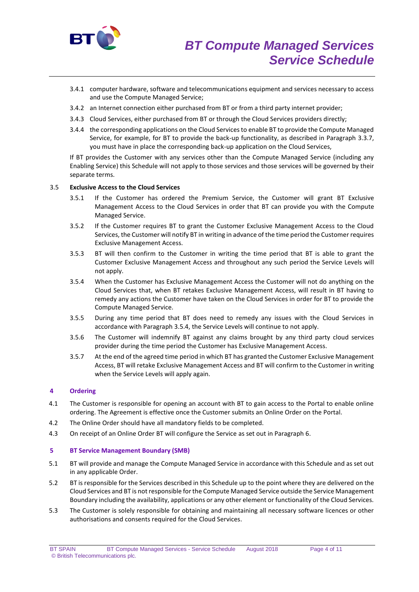

- 3.4.1 computer hardware, software and telecommunications equipment and services necessary to access and use the Compute Managed Service;
- 3.4.2 an Internet connection either purchased from BT or from a third party internet provider;
- 3.4.3 Cloud Services, either purchased from BT or through the Cloud Services providers directly;
- 3.4.4 the corresponding applications on the Cloud Services to enable BT to provide the Compute Managed Service, for example, for BT to provide the back-up functionality, as described in Paragraph 3.3.7, you must have in place the corresponding back-up application on the Cloud Services,

If BT provides the Customer with any services other than the Compute Managed Service (including any Enabling Service) this Schedule will not apply to those services and those services will be governed by their separate terms.

## 3.5 **Exclusive Access to the Cloud Services**

- 3.5.1 If the Customer has ordered the Premium Service, the Customer will grant BT Exclusive Management Access to the Cloud Services in order that BT can provide you with the Compute Managed Service.
- 3.5.2 If the Customer requires BT to grant the Customer Exclusive Management Access to the Cloud Services, the Customer will notify BT in writing in advance of the time period the Customer requires Exclusive Management Access.
- 3.5.3 BT will then confirm to the Customer in writing the time period that BT is able to grant the Customer Exclusive Management Access and throughout any such period the Service Levels will not apply.
- 3.5.4 When the Customer has Exclusive Management Access the Customer will not do anything on the Cloud Services that, when BT retakes Exclusive Management Access, will result in BT having to remedy any actions the Customer have taken on the Cloud Services in order for BT to provide the Compute Managed Service.
- 3.5.5 During any time period that BT does need to remedy any issues with the Cloud Services in accordance with Paragraph 3.5.4, the Service Levels will continue to not apply.
- 3.5.6 The Customer will indemnify BT against any claims brought by any third party cloud services provider during the time period the Customer has Exclusive Management Access.
- 3.5.7 At the end of the agreed time period in which BT has granted the Customer Exclusive Management Access, BT will retake Exclusive Management Access and BT will confirm to the Customer in writing when the Service Levels will apply again.

## **4 Ordering**

- 4.1 The Customer is responsible for opening an account with BT to gain access to the Portal to enable online ordering. The Agreement is effective once the Customer submits an Online Order on the Portal.
- 4.2 The Online Order should have all mandatory fields to be completed.
- 4.3 On receipt of an Online Order BT will configure the Service as set out in Paragraph 6.

#### **5 BT Service Management Boundary (SMB)**

- 5.1 BT will provide and manage the Compute Managed Service in accordance with this Schedule and as set out in any applicable Order.
- 5.2 BT is responsible for the Services described in this Schedule up to the point where they are delivered on the Cloud Services and BT is not responsible for the Compute Managed Service outside the Service Management Boundary including the availability, applications or any other element or functionality of the Cloud Services.
- 5.3 The Customer is solely responsible for obtaining and maintaining all necessary software licences or other authorisations and consents required for the Cloud Services.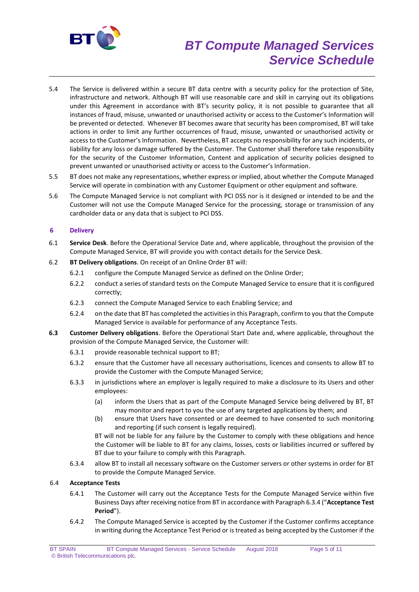

# *BT Compute Managed Services Service Schedule*

- 5.4 The Service is delivered within a secure BT data centre with a security policy for the protection of Site, infrastructure and network. Although BT will use reasonable care and skill in carrying out its obligations under this Agreement in accordance with BT's security policy, it is not possible to guarantee that all instances of fraud, misuse, unwanted or unauthorised activity or access to the Customer's Information will be prevented or detected. Whenever BT becomes aware that security has been compromised, BT will take actions in order to limit any further occurrences of fraud, misuse, unwanted or unauthorised activity or access to the Customer's Information. Nevertheless, BT accepts no responsibility for any such incidents, or liability for any loss or damage suffered by the Customer. The Customer shall therefore take responsibility for the security of the Customer Information, Content and application of security policies designed to prevent unwanted or unauthorised activity or access to the Customer's Information.
- 5.5 BT does not make any representations, whether express or implied, about whether the Compute Managed Service will operate in combination with any Customer Equipment or other equipment and software.
- 5.6 The Compute Managed Service is not compliant with PCI DSS nor is it designed or intended to be and the Customer will not use the Compute Managed Service for the processing, storage or transmission of any cardholder data or any data that is subject to PCI DSS.

# **6 Delivery**

- 6.1 **Service Desk**. Before the Operational Service Date and, where applicable, throughout the provision of the Compute Managed Service, BT will provide you with contact details for the Service Desk.
- 6.2 **BT Delivery obligations**. On receipt of an Online Order BT will:
	- 6.2.1 configure the Compute Managed Service as defined on the Online Order;
	- 6.2.2 conduct a series of standard tests on the Compute Managed Service to ensure that it is configured correctly;
	- 6.2.3 connect the Compute Managed Service to each Enabling Service; and
	- 6.2.4 on the date that BT has completed the activities in this Paragraph, confirm to you that the Compute Managed Service is available for performance of any Acceptance Tests.
- **6.3 Customer Delivery obligations**. Before the Operational Start Date and, where applicable, throughout the provision of the Compute Managed Service, the Customer will:
	- 6.3.1 provide reasonable technical support to BT;
	- 6.3.2 ensure that the Customer have all necessary authorisations, licences and consents to allow BT to provide the Customer with the Compute Managed Service;
	- 6.3.3 in jurisdictions where an employer is legally required to make a disclosure to its Users and other employees:
		- (a) inform the Users that as part of the Compute Managed Service being delivered by BT, BT may monitor and report to you the use of any targeted applications by them; and
		- (b) ensure that Users have consented or are deemed to have consented to such monitoring and reporting (if such consent is legally required).

BT will not be liable for any failure by the Customer to comply with these obligations and hence the Customer will be liable to BT for any claims, losses, costs or liabilities incurred or suffered by BT due to your failure to comply with this Paragraph.

6.3.4 allow BT to install all necessary software on the Customer servers or other systems in order for BT to provide the Compute Managed Service.

# 6.4 **Acceptance Tests**

- 6.4.1 The Customer will carry out the Acceptance Tests for the Compute Managed Service within five Business Days after receiving notice from BT in accordance with Paragraph 6.3.4 ("**Acceptance Test Period**").
- 6.4.2 The Compute Managed Service is accepted by the Customer if the Customer confirms acceptance in writing during the Acceptance Test Period or is treated as being accepted by the Customer if the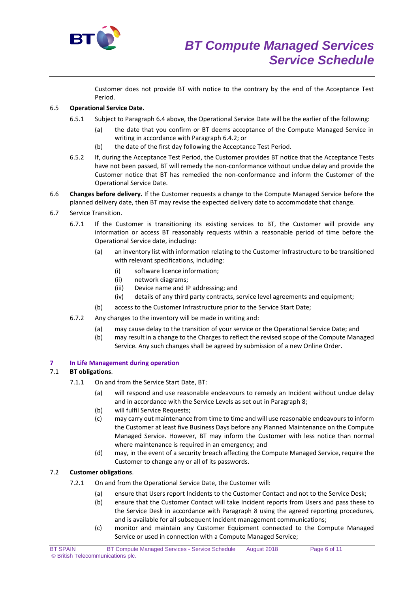

Customer does not provide BT with notice to the contrary by the end of the Acceptance Test Period.

# 6.5 **Operational Service Date.**

- 6.5.1 Subject to Paragraph 6.4 above, the Operational Service Date will be the earlier of the following:
	- (a) the date that you confirm or BT deems acceptance of the Compute Managed Service in writing in accordance with Paragraph 6.4.2; or
	- (b) the date of the first day following the Acceptance Test Period.
- 6.5.2 If, during the Acceptance Test Period, the Customer provides BT notice that the Acceptance Tests have not been passed, BT will remedy the non-conformance without undue delay and provide the Customer notice that BT has remedied the non-conformance and inform the Customer of the Operational Service Date.
- 6.6 **Changes before delivery.** If the Customer requests a change to the Compute Managed Service before the planned delivery date, then BT may revise the expected delivery date to accommodate that change.
- 6.7 Service Transition.
	- 6.7.1 If the Customer is transitioning its existing services to BT, the Customer will provide any information or access BT reasonably requests within a reasonable period of time before the Operational Service date, including:
		- (a) an inventory list with information relating to the Customer Infrastructure to be transitioned with relevant specifications, including:
			- (i) software licence information;
			- (ii) network diagrams;
			- (iii) Device name and IP addressing; and
			- (iv) details of any third party contracts, service level agreements and equipment;
		- (b) access to the Customer Infrastructure prior to the Service Start Date;
	- 6.7.2 Any changes to the inventory will be made in writing and:
		- (a) may cause delay to the transition of your service or the Operational Service Date; and
		- (b) may result in a change to the Charges to reflect the revised scope of the Compute Managed Service. Any such changes shall be agreed by submission of a new Online Order.

## **7 In Life Management during operation**

# 7.1 **BT obligations**.

- 7.1.1 On and from the Service Start Date, BT:
	- (a) will respond and use reasonable endeavours to remedy an Incident without undue delay and in accordance with the Service Levels as set out in Paragraph 8;
	- (b) will fulfil Service Requests;
	- (c) may carry out maintenance from time to time and will use reasonable endeavours to inform the Customer at least five Business Days before any Planned Maintenance on the Compute Managed Service. However, BT may inform the Customer with less notice than normal where maintenance is required in an emergency; and
	- (d) may, in the event of a security breach affecting the Compute Managed Service, require the Customer to change any or all of its passwords.

# 7.2 **Customer obligations**.

- 7.2.1 On and from the Operational Service Date, the Customer will:
	- (a) ensure that Users report Incidents to the Customer Contact and not to the Service Desk;
	- (b) ensure that the Customer Contact will take Incident reports from Users and pass these to the Service Desk in accordance with Paragraph 8 using the agreed reporting procedures, and is available for all subsequent Incident management communications;
	- (c) monitor and maintain any Customer Equipment connected to the Compute Managed Service or used in connection with a Compute Managed Service;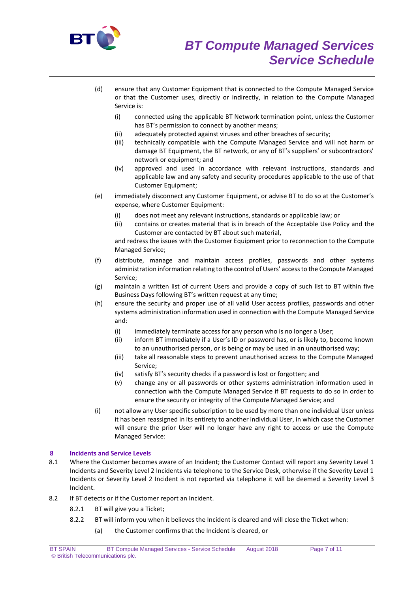

- (d) ensure that any Customer Equipment that is connected to the Compute Managed Service or that the Customer uses, directly or indirectly, in relation to the Compute Managed Service is:
	- (i) connected using the applicable BT Network termination point, unless the Customer has BT's permission to connect by another means;
	- (ii) adequately protected against viruses and other breaches of security;
	- (iii) technically compatible with the Compute Managed Service and will not harm or damage BT Equipment, the BT network, or any of BT's suppliers' or subcontractors' network or equipment; and
	- (iv) approved and used in accordance with relevant instructions, standards and applicable law and any safety and security procedures applicable to the use of that Customer Equipment;
- (e) immediately disconnect any Customer Equipment, or advise BT to do so at the Customer's expense, where Customer Equipment:
	- (i) does not meet any relevant instructions, standards or applicable law; or
	- (ii) contains or creates material that is in breach of the Acceptable Use Policy and the Customer are contacted by BT about such material,

and redress the issues with the Customer Equipment prior to reconnection to the Compute Managed Service;

- (f) distribute, manage and maintain access profiles, passwords and other systems administration information relating to the control of Users' access to the Compute Managed Service;
- (g) maintain a written list of current Users and provide a copy of such list to BT within five Business Days following BT's written request at any time;
- (h) ensure the security and proper use of all valid User access profiles, passwords and other systems administration information used in connection with the Compute Managed Service and:
	- (i) immediately terminate access for any person who is no longer a User;
	- (ii) inform BT immediately if a User's ID or password has, or is likely to, become known to an unauthorised person, or is being or may be used in an unauthorised way;
	- (iii) take all reasonable steps to prevent unauthorised access to the Compute Managed Service;
	- (iv) satisfy BT's security checks if a password is lost or forgotten; and
	- (v) change any or all passwords or other systems administration information used in connection with the Compute Managed Service if BT requests to do so in order to ensure the security or integrity of the Compute Managed Service; and
- (i) not allow any User specific subscription to be used by more than one individual User unless it has been reassigned in its entirety to another individual User, in which case the Customer will ensure the prior User will no longer have any right to access or use the Compute Managed Service:

# **8 Incidents and Service Levels**

- 8.1 Where the Customer becomes aware of an Incident; the Customer Contact will report any Severity Level 1 Incidents and Severity Level 2 Incidents via telephone to the Service Desk, otherwise if the Severity Level 1 Incidents or Severity Level 2 Incident is not reported via telephone it will be deemed a Severity Level 3 Incident.
- 8.2 If BT detects or if the Customer report an Incident.
	- 8.2.1 BT will give you a Ticket;
	- 8.2.2 BT will inform you when it believes the Incident is cleared and will close the Ticket when:
		- (a) the Customer confirms that the Incident is cleared, or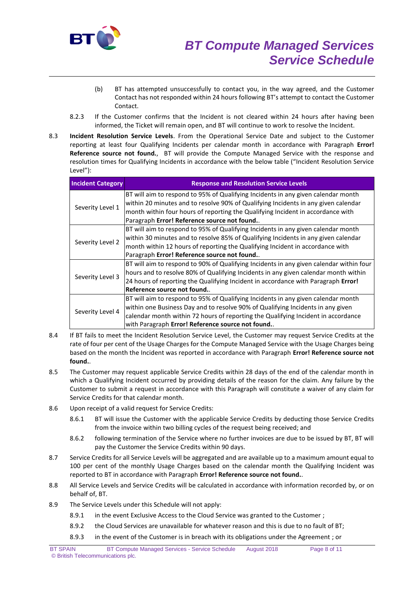

- (b) BT has attempted unsuccessfully to contact you, in the way agreed, and the Customer Contact has not responded within 24 hours following BT's attempt to contact the Customer Contact.
- 8.2.3 If the Customer confirms that the Incident is not cleared within 24 hours after having been informed, the Ticket will remain open, and BT will continue to work to resolve the Incident.
- 8.3 **Incident Resolution Service Levels**. From the Operational Service Date and subject to the Customer reporting at least four Qualifying Incidents per calendar month in accordance with Paragraph **Error! Reference source not found.**, BT will provide the Compute Managed Service with the response and resolution times for Qualifying Incidents in accordance with the below table ("Incident Resolution Service Level"):

| <b>Incident Category</b> | <b>Response and Resolution Service Levels</b>                                           |
|--------------------------|-----------------------------------------------------------------------------------------|
| Severity Level 1         | BT will aim to respond to 95% of Qualifying Incidents in any given calendar month       |
|                          | within 20 minutes and to resolve 90% of Qualifying Incidents in any given calendar      |
|                          | month within four hours of reporting the Qualifying Incident in accordance with         |
|                          | Paragraph Error! Reference source not found                                             |
| Severity Level 2         | BT will aim to respond to 95% of Qualifying Incidents in any given calendar month       |
|                          | within 30 minutes and to resolve 85% of Qualifying Incidents in any given calendar      |
|                          | month within 12 hours of reporting the Qualifying Incident in accordance with           |
|                          | Paragraph Error! Reference source not found                                             |
| Severity Level 3         | BT will aim to respond to 90% of Qualifying Incidents in any given calendar within four |
|                          | hours and to resolve 80% of Qualifying Incidents in any given calendar month within     |
|                          | 24 hours of reporting the Qualifying Incident in accordance with Paragraph Error!       |
|                          | Reference source not found.                                                             |
| Severity Level 4         | BT will aim to respond to 95% of Qualifying Incidents in any given calendar month       |
|                          | within one Business Day and to resolve 90% of Qualifying Incidents in any given         |
|                          | calendar month within 72 hours of reporting the Qualifying Incident in accordance       |
|                          | with Paragraph Error! Reference source not found                                        |

- 8.4 If BT fails to meet the Incident Resolution Service Level, the Customer may request Service Credits at the rate of four per cent of the Usage Charges for the Compute Managed Service with the Usage Charges being based on the month the Incident was reported in accordance with Paragraph **Error! Reference source not found.**.
- 8.5 The Customer may request applicable Service Credits within 28 days of the end of the calendar month in which a Qualifying Incident occurred by providing details of the reason for the claim. Any failure by the Customer to submit a request in accordance with this Paragraph will constitute a waiver of any claim for Service Credits for that calendar month.
- 8.6 Upon receipt of a valid request for Service Credits:
	- 8.6.1 BT will issue the Customer with the applicable Service Credits by deducting those Service Credits from the invoice within two billing cycles of the request being received; and
	- 8.6.2 following termination of the Service where no further invoices are due to be issued by BT, BT will pay the Customer the Service Credits within 90 days.
- 8.7 Service Credits for all Service Levels will be aggregated and are available up to a maximum amount equal to 100 per cent of the monthly Usage Charges based on the calendar month the Qualifying Incident was reported to BT in accordance with Paragraph **Error! Reference source not found.**.
- 8.8 All Service Levels and Service Credits will be calculated in accordance with information recorded by, or on behalf of, BT.
- 8.9 The Service Levels under this Schedule will not apply:
	- 8.9.1 in the event Exclusive Access to the Cloud Service was granted to the Customer ;
	- 8.9.2 the Cloud Services are unavailable for whatever reason and this is due to no fault of BT;
	- 8.9.3 in the event of the Customer is in breach with its obligations under the Agreement ; or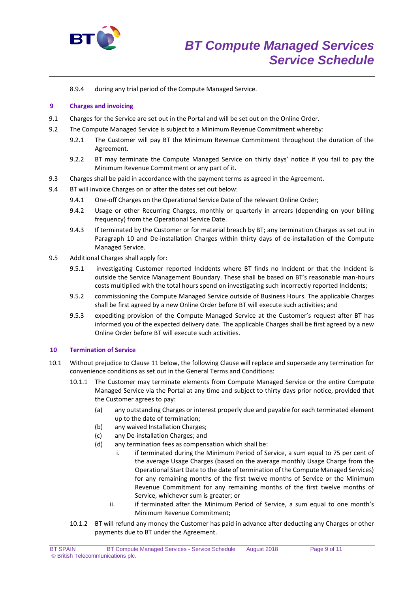

8.9.4 during any trial period of the Compute Managed Service.

## **9 Charges and invoicing**

- 9.1 Charges for the Service are set out in the Portal and will be set out on the Online Order.
- 9.2 The Compute Managed Service is subject to a Minimum Revenue Commitment whereby:
	- 9.2.1 The Customer will pay BT the Minimum Revenue Commitment throughout the duration of the Agreement.
	- 9.2.2 BT may terminate the Compute Managed Service on thirty days' notice if you fail to pay the Minimum Revenue Commitment or any part of it.
- 9.3 Charges shall be paid in accordance with the payment terms as agreed in the Agreement.
- 9.4 BT will invoice Charges on or after the dates set out below:
	- 9.4.1 One-off Charges on the Operational Service Date of the relevant Online Order;
	- 9.4.2 Usage or other Recurring Charges, monthly or quarterly in arrears (depending on your billing frequency) from the Operational Service Date.
	- 9.4.3 If terminated by the Customer or for material breach by BT; any termination Charges as set out in Paragraph 10 and De-installation Charges within thirty days of de-installation of the Compute Managed Service.
- 9.5 Additional Charges shall apply for:
	- 9.5.1 investigating Customer reported Incidents where BT finds no Incident or that the Incident is outside the Service Management Boundary. These shall be based on BT's reasonable man-hours costs multiplied with the total hours spend on investigating such incorrectly reported Incidents;
	- 9.5.2 commissioning the Compute Managed Service outside of Business Hours. The applicable Charges shall be first agreed by a new Online Order before BT will execute such activities; and
	- 9.5.3 expediting provision of the Compute Managed Service at the Customer's request after BT has informed you of the expected delivery date. The applicable Charges shall be first agreed by a new Online Order before BT will execute such activities.

## **10 Termination of Service**

- 10.1 Without prejudice to Clause 11 below, the following Clause will replace and supersede any termination for convenience conditions as set out in the General Terms and Conditions:
	- 10.1.1 The Customer may terminate elements from Compute Managed Service or the entire Compute Managed Service via the Portal at any time and subject to thirty days prior notice, provided that the Customer agrees to pay:
		- (a) any outstanding Charges or interest properly due and payable for each terminated element up to the date of termination;
		- (b) any waived Installation Charges;
		- (c) any De-installation Charges; and
		- (d) any termination fees as compensation which shall be:
			- i. if terminated during the Minimum Period of Service, a sum equal to 75 per cent of the average Usage Charges (based on the average monthly Usage Charge from the Operational Start Date to the date of termination of the Compute Managed Services) for any remaining months of the first twelve months of Service or the Minimum Revenue Commitment for any remaining months of the first twelve months of Service, whichever sum is greater; or
			- ii. if terminated after the Minimum Period of Service, a sum equal to one month's Minimum Revenue Commitment;
	- 10.1.2 BT will refund any money the Customer has paid in advance after deducting any Charges or other payments due to BT under the Agreement.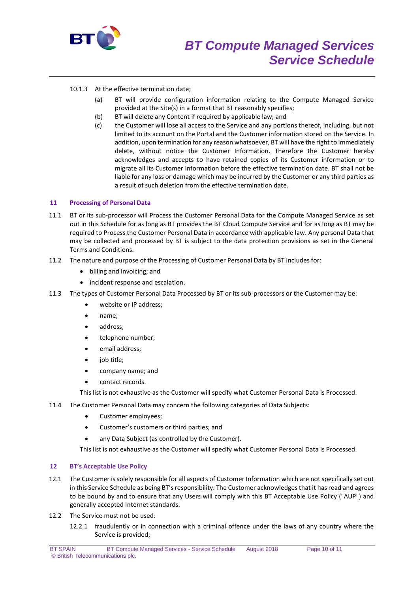

# 10.1.3 At the effective termination date;

- (a) BT will provide configuration information relating to the Compute Managed Service provided at the Site(s) in a format that BT reasonably specifies;
- (b) BT will delete any Content if required by applicable law; and
- (c) the Customer will lose all access to the Service and any portions thereof, including, but not limited to its account on the Portal and the Customer information stored on the Service. In addition, upon termination for any reason whatsoever, BT will have the right to immediately delete, without notice the Customer Information. Therefore the Customer hereby acknowledges and accepts to have retained copies of its Customer information or to migrate all its Customer information before the effective termination date. BT shall not be liable for any loss or damage which may be incurred by the Customer or any third parties as a result of such deletion from the effective termination date.

## **11 Processing of Personal Data**

- 11.1 BT or its sub-processor will Process the Customer Personal Data for the Compute Managed Service as set out in this Schedule for as long as BT provides the BT Cloud Compute Service and for as long as BT may be required to Process the Customer Personal Data in accordance with applicable law. Any personal Data that may be collected and processed by BT is subject to the data protection provisions as set in the General Terms and Conditions.
- 11.2 The nature and purpose of the Processing of Customer Personal Data by BT includes for:
	- billing and invoicing; and
	- incident response and escalation.
- 11.3 The types of Customer Personal Data Processed by BT or its sub-processors or the Customer may be:
	- website or IP address;
	- name;
	- address;
	- telephone number;
	- **email address;**
	- job title;
	- company name; and
	- contact records.
	- This list is not exhaustive as the Customer will specify what Customer Personal Data is Processed.
- 11.4 The Customer Personal Data may concern the following categories of Data Subjects:
	- Customer employees;
	- Customer's customers or third parties; and
	- any Data Subject (as controlled by the Customer).

This list is not exhaustive as the Customer will specify what Customer Personal Data is Processed.

#### **12 BT's Acceptable Use Policy**

- 12.1 The Customer is solely responsible for all aspects of Customer Information which are not specifically set out in this Service Schedule as being BT's responsibility. The Customer acknowledges that it has read and agrees to be bound by and to ensure that any Users will comply with this BT Acceptable Use Policy ("AUP") and generally accepted Internet standards.
- 12.2 The Service must not be used:
	- 12.2.1 fraudulently or in connection with a criminal offence under the laws of any country where the Service is provided;